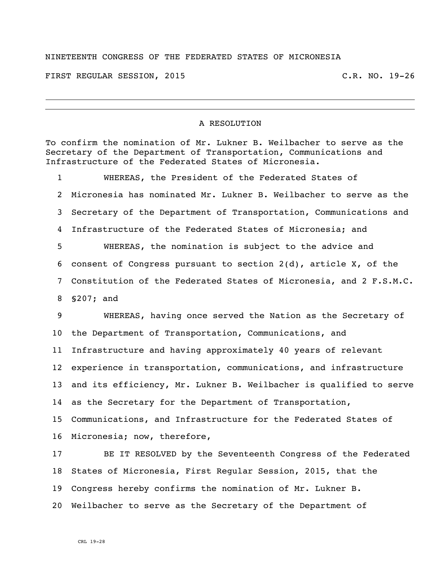## NINETEENTH CONGRESS OF THE FEDERATED STATES OF MICRONESIA

FIRST REGULAR SESSION, 2015 C.R. NO. 19-26

## A RESOLUTION

To confirm the nomination of Mr. Lukner B. Weilbacher to serve as the Secretary of the Department of Transportation, Communications and Infrastructure of the Federated States of Micronesia.

 WHEREAS, the President of the Federated States of Micronesia has nominated Mr. Lukner B. Weilbacher to serve as the Secretary of the Department of Transportation, Communications and Infrastructure of the Federated States of Micronesia; and WHEREAS, the nomination is subject to the advice and consent of Congress pursuant to section 2(d), article X, of the Constitution of the Federated States of Micronesia, and 2 F.S.M.C. §207; and WHEREAS, having once served the Nation as the Secretary of the Department of Transportation, Communications, and Infrastructure and having approximately 40 years of relevant experience in transportation, communications, and infrastructure and its efficiency, Mr. Lukner B. Weilbacher is qualified to serve as the Secretary for the Department of Transportation, Communications, and Infrastructure for the Federated States of Micronesia; now, therefore, BE IT RESOLVED by the Seventeenth Congress of the Federated

 States of Micronesia, First Regular Session, 2015, that the Congress hereby confirms the nomination of Mr. Lukner B. Weilbacher to serve as the Secretary of the Department of